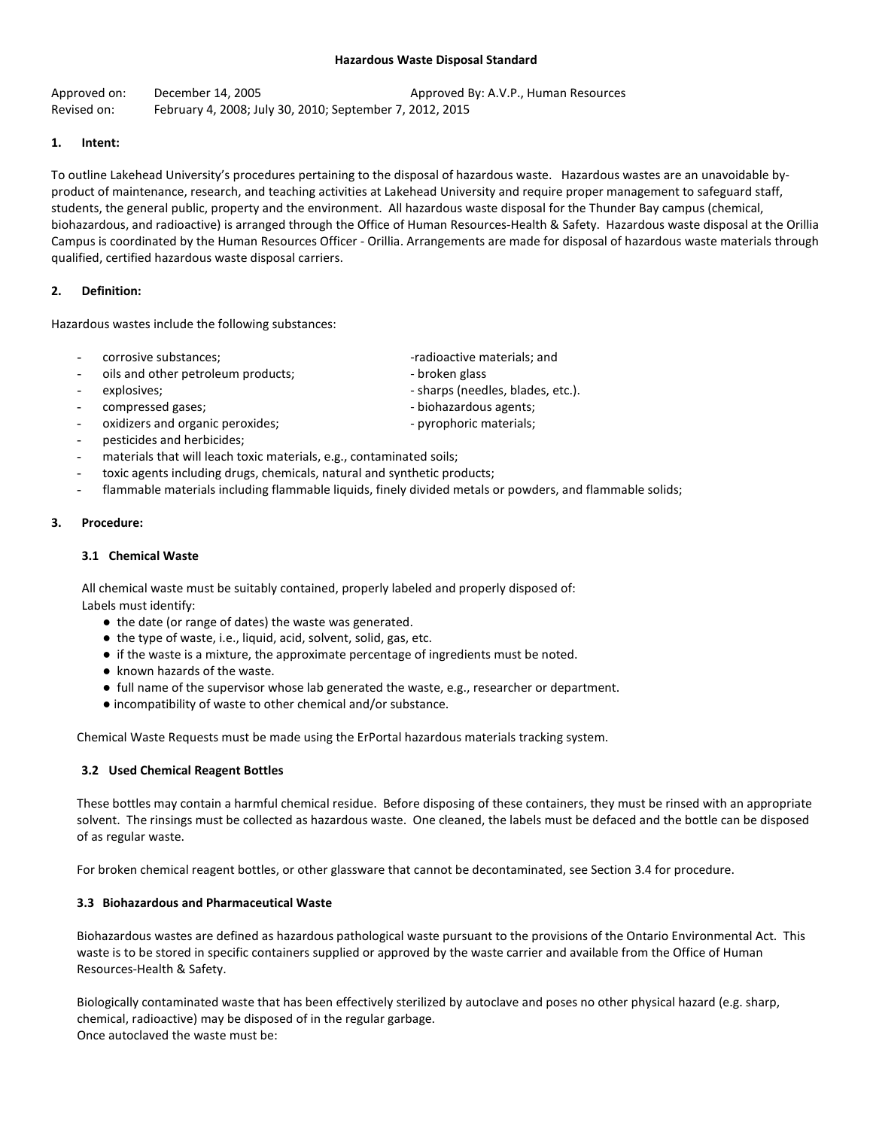#### **Hazardous Waste Disposal Standard**

Approved on: December 14, 2005 Approved By: A.V.P., Human Resources Revised on: February 4, 2008; July 30, 2010; September 7, 2012, 2015

### **1. Intent:**

To outline Lakehead University's procedures pertaining to the disposal of hazardous waste.Hazardous wastes are an unavoidable byproduct of maintenance, research, and teaching activities at Lakehead University and require proper management to safeguard staff, students, the general public, property and the environment.All hazardous waste disposal for the Thunder Bay campus (chemical, biohazardous, and radioactive) is arranged through the Office of Human Resources-Health & Safety. Hazardous waste disposal at the Orillia Campus is coordinated by the Human Resources Officer - Orillia. Arrangements are made for disposal of hazardous waste materials through qualified, certified hazardous waste disposal carriers.

## **2. Definition:**

Hazardous wastes include the following substances:

- 
- oils and other petroleum products; extending the broken glass
- 
- 
- oxidizers and organic peroxides;  $\qquad \qquad \qquad \text{syrophoric materials};$
- pesticides and herbicides;
- materials that will leach toxic materials, e.g., contaminated soils;
- toxic agents including drugs, chemicals, natural and synthetic products;
- flammable materials including flammable liquids, finely divided metals or powders, and flammable solids;

### **3. Procedure:**

### **3.1 Chemical Waste**

All chemical waste must be suitably contained, properly labeled and properly disposed of: Labels must identify:

- the date (or range of dates) the waste was generated.
- the type of waste, i.e., liquid, acid, solvent, solid, gas, etc.
- if the waste is a mixture, the approximate percentage of ingredients must be noted.
- known hazards of the waste.
- full name of the supervisor whose lab generated the waste, e.g., researcher or department.
- incompatibility of waste to other chemical and/or substance.

Chemical Waste Requests must be made using the ErPortal hazardous materials tracking system.

# **3.2 Used Chemical Reagent Bottles**

These bottles may contain a harmful chemical residue. Before disposing of these containers, they must be rinsed with an appropriate solvent. The rinsings must be collected as hazardous waste. One cleaned, the labels must be defaced and the bottle can be disposed of as regular waste.

For broken chemical reagent bottles, or other glassware that cannot be decontaminated, see Section 3.4 for procedure.

### **3.3 Biohazardous and Pharmaceutical Waste**

Biohazardous wastes are defined as hazardous pathological waste pursuant to the provisions of the Ontario Environmental Act. This waste is to be stored in specific containers supplied or approved by the waste carrier and available from the Office of Human Resources-Health & Safety.

Biologically contaminated waste that has been effectively sterilized by autoclave and poses no other physical hazard (e.g. sharp, chemical, radioactive) may be disposed of in the regular garbage. Once autoclaved the waste must be:

- corrosive substances;  $\sim$  -radioactive materials; and
	-
	-
	-
	-
	-
- explosives; explosives; explosives; explosives; explosives; explosives; explosives; explosives; explosives,  $\frac{1}{2}$
- compressed gases;  $\qquad \qquad \qquad \text{biohazardous agents};$ 
	-